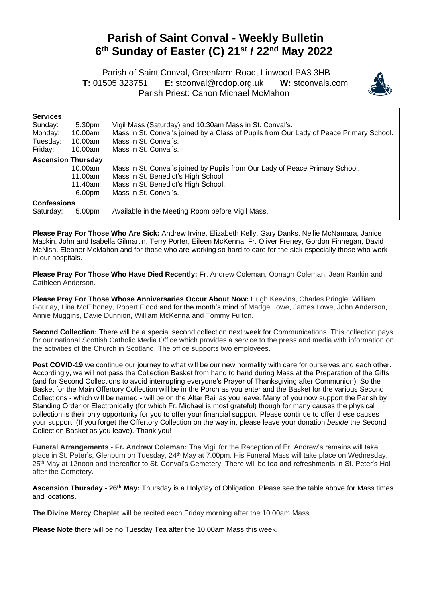## **Parish of Saint Conval - Weekly Bulletin 6 th Sunday of Easter (C) 21st / 22nd May 2022**

 Parish of Saint Conval, Greenfarm Road, Linwood PA3 3HB **T:** 01505 323751 **E:** [stconval@rcdop.org.uk](mailto:stconval@rcdop.org.uk) **W:** stconvals.com Parish Priest: Canon Michael McMahon



| <b>Services</b>           |         |                                                                                         |
|---------------------------|---------|-----------------------------------------------------------------------------------------|
| Sunday:                   | 5.30pm  | Vigil Mass (Saturday) and 10.30am Mass in St. Conval's.                                 |
| Monday:                   | 10.00am | Mass in St. Conval's joined by a Class of Pupils from Our Lady of Peace Primary School. |
| Tuesday:                  | 10.00am | Mass in St. Conval's.                                                                   |
| Friday:                   | 10.00am | Mass in St. Conval's.                                                                   |
| <b>Ascension Thursday</b> |         |                                                                                         |
|                           | 10.00am | Mass in St. Conval's joined by Pupils from Our Lady of Peace Primary School.            |
|                           | 11.00am | Mass in St. Benedict's High School.                                                     |
|                           | 11.40am | Mass in St. Benedict's High School.                                                     |
|                           | 6.00pm  | Mass in St. Conval's.                                                                   |
| <b>Confessions</b>        |         |                                                                                         |
| Saturday:                 | 5.00pm  | Available in the Meeting Room before Vigil Mass.                                        |

**Please Pray For Those Who Are Sick:** Andrew Irvine, Elizabeth Kelly, Gary Danks, Nellie McNamara, Janice Mackin, John and Isabella Gilmartin, Terry Porter, Eileen McKenna, Fr. Oliver Freney, Gordon Finnegan, David McNish, Eleanor McMahon and for those who are working so hard to care for the sick especially those who work in our hospitals.

**Please Pray For Those Who Have Died Recently:** Fr. Andrew Coleman, Oonagh Coleman, Jean Rankin and Cathleen Anderson.

**Please Pray For Those Whose Anniversaries Occur About Now:** Hugh Keevins, Charles Pringle, William Gourlay, Lina McElhoney, Robert Flood and for the month's mind of Madge Lowe, James Lowe, John Anderson, Annie Muggins, Davie Dunnion, William McKenna and Tommy Fulton.

**Second Collection:** There will be a special second collection next week for Communications. This collection pays for our national Scottish Catholic Media Office which provides a service to the press and media with information on the activities of the Church in Scotland. The office supports two employees.

**Post COVID-19** we continue our journey to what will be our new normality with care for ourselves and each other. Accordingly, we will not pass the Collection Basket from hand to hand during Mass at the Preparation of the Gifts (and for Second Collections to avoid interrupting everyone's Prayer of Thanksgiving after Communion). So the Basket for the Main Offertory Collection will be in the Porch as you enter and the Basket for the various Second Collections - which will be named - will be on the Altar Rail as you leave. Many of you now support the Parish by Standing Order or Electronically (for which Fr. Michael is most grateful) though for many causes the physical collection is their only opportunity for you to offer your financial support. Please continue to offer these causes your support. (If you forget the Offertory Collection on the way in, please leave your donation *beside* the Second Collection Basket as you leave). Thank you!

**Funeral Arrangements - Fr. Andrew Coleman:** The Vigil for the Reception of Fr. Andrew's remains will take place in St. Peter's, Glenburn on Tuesday, 24th May at 7.00pm. His Funeral Mass will take place on Wednesday, 25<sup>th</sup> May at 12noon and thereafter to St. Conval's Cemetery. There will be tea and refreshments in St. Peter's Hall after the Cemetery.

**Ascension Thursday - 26th May:** Thursday is a Holyday of Obligation. Please see the table above for Mass times and locations.

**The Divine Mercy Chaplet** will be recited each Friday morning after the 10.00am Mass.

**Please Note** there will be no Tuesday Tea after the 10.00am Mass this week.